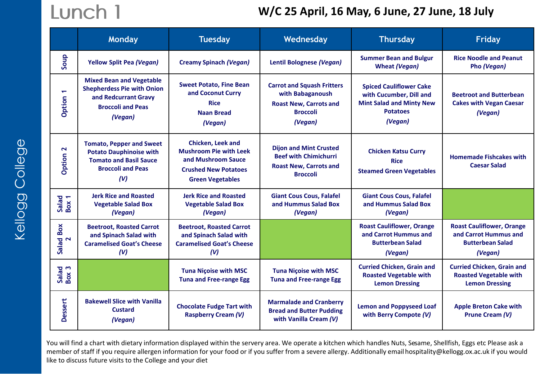#### Lunch 1 **W/C 25 April, 16 May, 6 June, 27 June, 18 July**

|                                | Monday                                                                                                                                | <b>Tuesday</b>                                                                                                                            | Wednesday                                                                                                            | <b>Thursday</b>                                                                                                            | <b>Friday</b>                                                                                   |
|--------------------------------|---------------------------------------------------------------------------------------------------------------------------------------|-------------------------------------------------------------------------------------------------------------------------------------------|----------------------------------------------------------------------------------------------------------------------|----------------------------------------------------------------------------------------------------------------------------|-------------------------------------------------------------------------------------------------|
| Soup                           | <b>Yellow Split Pea (Vegan)</b>                                                                                                       | <b>Creamy Spinach (Vegan)</b>                                                                                                             | Lentil Bolognese (Vegan)                                                                                             | <b>Summer Bean and Bulgur</b><br><b>Wheat (Vegan)</b>                                                                      | <b>Rice Noodle and Peanut</b><br>Pho (Vegan)                                                    |
| $\blacktriangledown$<br>Option | <b>Mixed Bean and Vegetable</b><br><b>Shepherdess Pie with Onion</b><br>and Redcurrant Gravy<br><b>Broccoli and Peas</b><br>(Vegan)   | <b>Sweet Potato, Fine Bean</b><br>and Coconut Curry<br><b>Rice</b><br><b>Naan Bread</b><br>(Vegan)                                        | <b>Carrot and Squash Fritters</b><br>with Babaganoush<br><b>Roast New, Carrots and</b><br><b>Broccoli</b><br>(Vegan) | <b>Spiced Cauliflower Cake</b><br>with Cucumber, Dill and<br><b>Mint Salad and Minty New</b><br><b>Potatoes</b><br>(Vegan) | <b>Beetroot and Butterbean</b><br><b>Cakes with Vegan Caesar</b><br>(Vegan)                     |
| $\mathbf{\Omega}$<br>Option    | <b>Tomato, Pepper and Sweet</b><br><b>Potato Dauphinoise with</b><br><b>Tomato and Basil Sauce</b><br><b>Broccoli and Peas</b><br>(V) | <b>Chicken. Leek and</b><br><b>Mushroom Pie with Leek</b><br>and Mushroom Sauce<br><b>Crushed New Potatoes</b><br><b>Green Vegetables</b> | <b>Dijon and Mint Crusted</b><br><b>Beef with Chimichurri</b><br><b>Roast New, Carrots and</b><br><b>Broccoli</b>    | <b>Chicken Katsu Curry</b><br><b>Rice</b><br><b>Steamed Green Vegetables</b>                                               | <b>Homemade Fishcakes with</b><br><b>Caesar Salad</b>                                           |
| Salad<br>Box 1                 | <b>Jerk Rice and Roasted</b><br><b>Vegetable Salad Box</b><br>(Vegan)                                                                 | <b>Jerk Rice and Roasted</b><br><b>Vegetable Salad Box</b><br>(Vegan)                                                                     | <b>Giant Cous Cous, Falafel</b><br>and Hummus Salad Box<br>(Vegan)                                                   | <b>Giant Cous Cous, Falafel</b><br>and Hummus Salad Box<br>(Vegan)                                                         |                                                                                                 |
| Salad Box<br>2                 | <b>Beetroot, Roasted Carrot</b><br>and Spinach Salad with<br><b>Caramelised Goat's Cheese</b><br>(V)                                  | <b>Beetroot, Roasted Carrot</b><br>and Spinach Salad with<br><b>Caramelised Goat's Cheese</b><br>(V)                                      |                                                                                                                      | <b>Roast Cauliflower, Orange</b><br>and Carrot Hummus and<br><b>Butterbean Salad</b><br>(Vegan)                            | <b>Roast Cauliflower, Orange</b><br>and Carrot Hummus and<br><b>Butterbean Salad</b><br>(Vegan) |
| Salad<br>Box 3                 |                                                                                                                                       | <b>Tuna Niçoise with MSC</b><br><b>Tuna and Free-range Egg</b>                                                                            | <b>Tuna Nicoise with MSC</b><br><b>Tuna and Free-range Egg</b>                                                       | <b>Curried Chicken, Grain and</b><br><b>Roasted Vegetable with</b><br><b>Lemon Dressing</b>                                | <b>Curried Chicken, Grain and</b><br><b>Roasted Vegetable with</b><br><b>Lemon Dressing</b>     |
| Dessert                        | <b>Bakewell Slice with Vanilla</b><br><b>Custard</b><br>(Vegan)                                                                       | <b>Chocolate Fudge Tart with</b><br><b>Raspberry Cream (V)</b>                                                                            | <b>Marmalade and Cranberry</b><br><b>Bread and Butter Pudding</b><br>with Vanilla Cream (V)                          | <b>Lemon and Poppyseed Loaf</b><br>with Berry Compote (V)                                                                  | <b>Apple Breton Cake with</b><br>Prune Cream (V)                                                |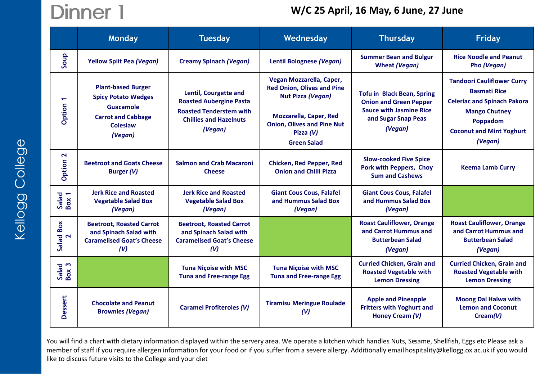# Dinner 1

### **W/C 25 April, 16 May, 6 June, 27 June**

|                        | <b>Monday</b>                                                                                                            | <b>Tuesday</b>                                                                                                                               | Wednesday                                                                                                                                                                                     | <b>Thursday</b>                                                                                                                        | <b>Friday</b>                                                                                                                                                                    |
|------------------------|--------------------------------------------------------------------------------------------------------------------------|----------------------------------------------------------------------------------------------------------------------------------------------|-----------------------------------------------------------------------------------------------------------------------------------------------------------------------------------------------|----------------------------------------------------------------------------------------------------------------------------------------|----------------------------------------------------------------------------------------------------------------------------------------------------------------------------------|
| Soup                   | <b>Yellow Split Pea (Vegan)</b>                                                                                          | <b>Creamy Spinach (Vegan)</b>                                                                                                                | Lentil Bolognese (Vegan)                                                                                                                                                                      | <b>Summer Bean and Bulgur</b><br><b>Wheat (Vegan)</b>                                                                                  | <b>Rice Noodle and Peanut</b><br>Pho (Vegan)                                                                                                                                     |
| ٣<br>Option            | <b>Plant-based Burger</b><br><b>Spicy Potato Wedges</b><br>Guacamole<br><b>Carrot and Cabbage</b><br>Coleslaw<br>(Vegan) | <b>Lentil, Courgette and</b><br><b>Roasted Aubergine Pasta</b><br><b>Roasted Tenderstem with</b><br><b>Chillies and Hazelnuts</b><br>(Vegan) | Vegan Mozzarella, Caper,<br><b>Red Onion, Olives and Pine</b><br>Nut Pizza (Vegan)<br><b>Mozzarella, Caper, Red</b><br><b>Onion, Olives and Pine Nut</b><br>Pizza $(V)$<br><b>Green Salad</b> | <b>Tofu in Black Bean, Spring</b><br><b>Onion and Green Pepper</b><br><b>Sauce with Jasmine Rice</b><br>and Sugar Snap Peas<br>(Vegan) | <b>Tandoori Cauliflower Curry</b><br><b>Basmati Rice</b><br><b>Celeriac and Spinach Pakora</b><br><b>Mango Chutney</b><br>Poppadom<br><b>Coconut and Mint Yoghurt</b><br>(Vegan) |
| $\mathbf{z}$<br>Option | <b>Beetroot and Goats Cheese</b><br>Burger (V)                                                                           | <b>Salmon and Crab Macaroni</b><br><b>Cheese</b>                                                                                             | <b>Chicken, Red Pepper, Red</b><br><b>Onion and Chilli Pizza</b>                                                                                                                              | <b>Slow-cooked Five Spice</b><br>Pork with Peppers, Choy<br><b>Sum and Cashews</b>                                                     | <b>Keema Lamb Curry</b>                                                                                                                                                          |
| Salad<br>Box 1         | <b>Jerk Rice and Roasted</b><br><b>Vegetable Salad Box</b><br>(Vegan)                                                    | <b>Jerk Rice and Roasted</b><br><b>Vegetable Salad Box</b><br>(Vegan)                                                                        | <b>Giant Cous Cous, Falafel</b><br>and Hummus Salad Box<br>(Vegan)                                                                                                                            | <b>Giant Cous Cous, Falafel</b><br>and Hummus Salad Box<br>(Vegan)                                                                     |                                                                                                                                                                                  |
| Box<br>Salad<br>2      | <b>Beetroot, Roasted Carrot</b><br>and Spinach Salad with<br><b>Caramelised Goat's Cheese</b><br>(V)                     | <b>Beetroot, Roasted Carrot</b><br>and Spinach Salad with<br><b>Caramelised Goat's Cheese</b><br>(V)                                         |                                                                                                                                                                                               | <b>Roast Cauliflower, Orange</b><br>and Carrot Hummus and<br><b>Butterbean Salad</b><br>(Vegan)                                        | <b>Roast Cauliflower, Orange</b><br>and Carrot Hummus and<br><b>Butterbean Salad</b><br>(Vegan)                                                                                  |
| Salad<br>Box 3         |                                                                                                                          | <b>Tuna Niçoise with MSC</b><br><b>Tuna and Free-range Egg</b>                                                                               | <b>Tuna Niçoise with MSC</b><br><b>Tuna and Free-range Egg</b>                                                                                                                                | <b>Curried Chicken, Grain and</b><br><b>Roasted Vegetable with</b><br><b>Lemon Dressing</b>                                            | <b>Curried Chicken, Grain and</b><br><b>Roasted Vegetable with</b><br><b>Lemon Dressing</b>                                                                                      |
| Dessert                | <b>Chocolate and Peanut</b><br><b>Brownies (Vegan)</b>                                                                   | <b>Caramel Profiteroles (V)</b>                                                                                                              | <b>Tiramisu Meringue Roulade</b><br>(V)                                                                                                                                                       | <b>Apple and Pineapple</b><br><b>Fritters with Yoghurt and</b><br><b>Honey Cream (V)</b>                                               | <b>Moong Dal Halwa with</b><br><b>Lemon and Coconut</b><br>Cream(V)                                                                                                              |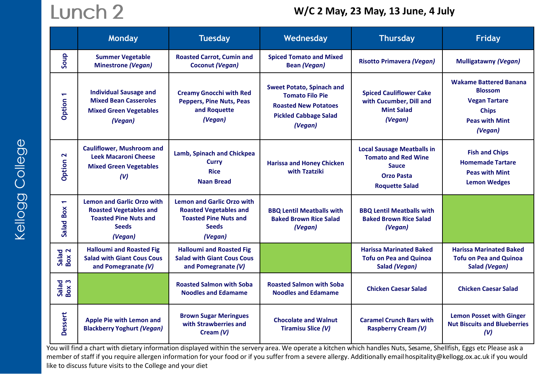## Lunch 2

#### **W/C 2 May, 23 May, 13 June, 4 July**

|                                          | Monday                                                                                                                        | <b>Tuesday</b>                                                                                                                | Wednesday                                                                                                                            | <b>Thursday</b>                                                                                                               | <b>Friday</b>                                                                                                               |
|------------------------------------------|-------------------------------------------------------------------------------------------------------------------------------|-------------------------------------------------------------------------------------------------------------------------------|--------------------------------------------------------------------------------------------------------------------------------------|-------------------------------------------------------------------------------------------------------------------------------|-----------------------------------------------------------------------------------------------------------------------------|
| Soup                                     | <b>Summer Vegetable</b><br><b>Minestrone (Vegan)</b>                                                                          | <b>Roasted Carrot, Cumin and</b><br><b>Coconut (Vegan)</b>                                                                    | <b>Spiced Tomato and Mixed</b><br><b>Bean (Vegan)</b>                                                                                | <b>Risotto Primavera (Vegan)</b>                                                                                              | <b>Mulligatawny (Vegan)</b>                                                                                                 |
| $\overline{\phantom{0}}$<br>Option       | <b>Individual Sausage and</b><br><b>Mixed Bean Casseroles</b><br><b>Mixed Green Vegetables</b><br>(Vegan)                     | <b>Creamy Gnocchi with Red</b><br><b>Peppers, Pine Nuts, Peas</b><br>and Roquette<br>(Vegan)                                  | <b>Sweet Potato, Spinach and</b><br><b>Tomato Filo Pie</b><br><b>Roasted New Potatoes</b><br><b>Pickled Cabbage Salad</b><br>(Vegan) | <b>Spiced Cauliflower Cake</b><br>with Cucumber, Dill and<br><b>Mint Salad</b><br>(Vegan)                                     | <b>Wakame Battered Banana</b><br><b>Blossom</b><br><b>Vegan Tartare</b><br><b>Chips</b><br><b>Peas with Mint</b><br>(Vegan) |
| $\mathbf{z}$<br>Option                   | <b>Cauliflower, Mushroom and</b><br><b>Leek Macaroni Cheese</b><br><b>Mixed Green Vegetables</b><br>(V)                       | Lamb, Spinach and Chickpea<br>Curry<br><b>Rice</b><br><b>Naan Bread</b>                                                       | <b>Harissa and Honey Chicken</b><br>with Tzatziki                                                                                    | <b>Local Sausage Meatballs in</b><br><b>Tomato and Red Wine</b><br><b>Sauce</b><br><b>Orzo Pasta</b><br><b>Roquette Salad</b> | <b>Fish and Chips</b><br><b>Homemade Tartare</b><br><b>Peas with Mint</b><br><b>Lemon Wedges</b>                            |
| $\overline{\phantom{0}}$<br>Box<br>Salad | <b>Lemon and Garlic Orzo with</b><br><b>Roasted Vegetables and</b><br><b>Toasted Pine Nuts and</b><br><b>Seeds</b><br>(Vegan) | <b>Lemon and Garlic Orzo with</b><br><b>Roasted Vegetables and</b><br><b>Toasted Pine Nuts and</b><br><b>Seeds</b><br>(Vegan) | <b>BBQ Lentil Meatballs with</b><br><b>Baked Brown Rice Salad</b><br>(Vegan)                                                         | <b>BBQ Lentil Meatballs with</b><br><b>Baked Brown Rice Salad</b><br>(Vegan)                                                  |                                                                                                                             |
| Salad<br>Box 2                           | <b>Halloumi and Roasted Fig.</b><br><b>Salad with Giant Cous Cous</b><br>and Pomegranate (V)                                  | <b>Halloumi and Roasted Fig.</b><br><b>Salad with Giant Cous Cous</b><br>and Pomegranate (V)                                  |                                                                                                                                      | <b>Harissa Marinated Baked</b><br><b>Tofu on Pea and Quinoa</b><br>Salad (Vegan)                                              | <b>Harissa Marinated Baked</b><br><b>Tofu on Pea and Quinoa</b><br>Salad (Vegan)                                            |
| Salad<br>Box 3                           |                                                                                                                               | <b>Roasted Salmon with Soba</b><br><b>Noodles and Edamame</b>                                                                 | <b>Roasted Salmon with Soba</b><br><b>Noodles and Edamame</b>                                                                        | <b>Chicken Caesar Salad</b>                                                                                                   | <b>Chicken Caesar Salad</b>                                                                                                 |
| Dessert                                  | Apple Pie with Lemon and<br><b>Blackberry Yoghurt (Vegan)</b>                                                                 | <b>Brown Sugar Meringues</b><br>with Strawberries and<br>Cream $(V)$                                                          | <b>Chocolate and Walnut</b><br><b>Tiramisu Slice (V)</b>                                                                             | <b>Caramel Crunch Bars with</b><br><b>Raspberry Cream (V)</b>                                                                 | <b>Lemon Posset with Ginger</b><br><b>Nut Biscuits and Blueberries</b><br>(V)                                               |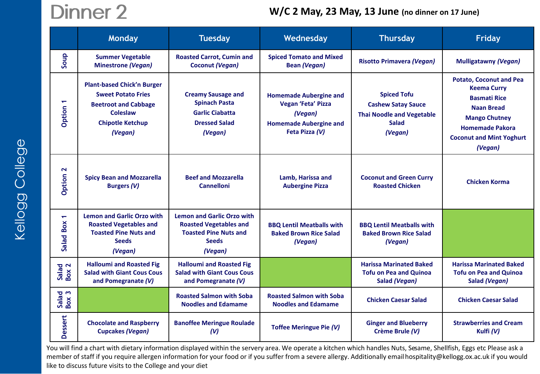## Dinner 2

#### **W/C 2 May, 23 May, 13 June (no dinner on 17 June)**

|                                       | <b>Monday</b>                                                                                                                                          | <b>Tuesday</b>                                                                                                                | Wednesday                                                                                                         | <b>Thursday</b>                                                                                                | <b>Friday</b>                                                                                                                                                                                    |
|---------------------------------------|--------------------------------------------------------------------------------------------------------------------------------------------------------|-------------------------------------------------------------------------------------------------------------------------------|-------------------------------------------------------------------------------------------------------------------|----------------------------------------------------------------------------------------------------------------|--------------------------------------------------------------------------------------------------------------------------------------------------------------------------------------------------|
| Soup                                  | <b>Summer Vegetable</b><br><b>Minestrone (Vegan)</b>                                                                                                   | <b>Roasted Carrot, Cumin and</b><br>Coconut (Vegan)                                                                           | <b>Spiced Tomato and Mixed</b><br><b>Bean (Vegan)</b>                                                             | <b>Risotto Primavera (Vegan)</b>                                                                               | <b>Mulligatawny (Vegan)</b>                                                                                                                                                                      |
| Option 1                              | <b>Plant-based Chick'n Burger</b><br><b>Sweet Potato Fries</b><br><b>Beetroot and Cabbage</b><br><b>Coleslaw</b><br><b>Chipotle Ketchup</b><br>(Vegan) | <b>Creamy Sausage and</b><br><b>Spinach Pasta</b><br><b>Garlic Ciabatta</b><br><b>Dressed Salad</b><br>(Vegan)                | <b>Homemade Aubergine and</b><br>Vegan 'Feta' Pizza<br>(Vegan)<br><b>Homemade Aubergine and</b><br>Feta Pizza (V) | <b>Spiced Tofu</b><br><b>Cashew Satay Sauce</b><br><b>Thai Noodle and Vegetable</b><br><b>Salad</b><br>(Vegan) | <b>Potato, Coconut and Pea</b><br><b>Keema Curry</b><br><b>Basmati Rice</b><br><b>Naan Bread</b><br><b>Mango Chutney</b><br><b>Homemade Pakora</b><br><b>Coconut and Mint Yoghurt</b><br>(Vegan) |
| $\mathbf{z}$<br>Option                | <b>Spicy Bean and Mozzarella</b><br><b>Burgers (V)</b>                                                                                                 | <b>Beef and Mozzarella</b><br><b>Cannelloni</b>                                                                               | Lamb, Harissa and<br><b>Aubergine Pizza</b>                                                                       | <b>Coconut and Green Curry</b><br><b>Roasted Chicken</b>                                                       | <b>Chicken Korma</b>                                                                                                                                                                             |
| $\overline{\phantom{0}}$<br>Salad Box | <b>Lemon and Garlic Orzo with</b><br><b>Roasted Vegetables and</b><br><b>Toasted Pine Nuts and</b><br><b>Seeds</b><br>(Vegan)                          | <b>Lemon and Garlic Orzo with</b><br><b>Roasted Vegetables and</b><br><b>Toasted Pine Nuts and</b><br><b>Seeds</b><br>(Vegan) | <b>BBQ Lentil Meatballs with</b><br><b>Baked Brown Rice Salad</b><br>(Vegan)                                      | <b>BBQ Lentil Meatballs with</b><br><b>Baked Brown Rice Salad</b><br>(Vegan)                                   |                                                                                                                                                                                                  |
| Salad<br>Box 2                        | <b>Halloumi and Roasted Fig.</b><br><b>Salad with Giant Cous Cous</b><br>and Pomegranate (V)                                                           | <b>Halloumi and Roasted Fig</b><br><b>Salad with Giant Cous Cous</b><br>and Pomegranate (V)                                   |                                                                                                                   | <b>Harissa Marinated Baked</b><br><b>Tofu on Pea and Quinoa</b><br>Salad (Vegan)                               | <b>Harissa Marinated Baked</b><br><b>Tofu on Pea and Quinoa</b><br>Salad (Vegan)                                                                                                                 |
| Salad<br>Box 3                        |                                                                                                                                                        | <b>Roasted Salmon with Soba</b><br><b>Noodles and Edamame</b>                                                                 | <b>Roasted Salmon with Soba</b><br><b>Noodles and Edamame</b>                                                     | <b>Chicken Caesar Salad</b>                                                                                    | <b>Chicken Caesar Salad</b>                                                                                                                                                                      |
| Dessert                               | <b>Chocolate and Raspberry</b><br><b>Cupcakes (Vegan)</b>                                                                                              | <b>Banoffee Meringue Roulade</b><br>(V)                                                                                       | <b>Toffee Meringue Pie (V)</b>                                                                                    | <b>Ginger and Blueberry</b><br>Crème Brule (V)                                                                 | <b>Strawberries and Cream</b><br>Kulfi (V)                                                                                                                                                       |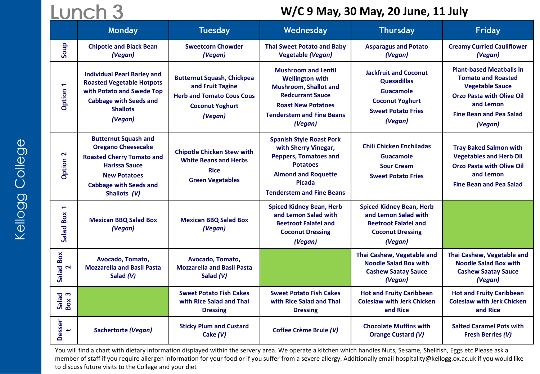### Lunch 3

### **W/C 9 May, 30 May, 20 June, 11 July**

|                                    | Monday                                                                                                                                                                                       | <b>Tuesday</b>                                                                                                                 | Wednesday                                                                                                                                                                                   | <b>Thursday</b>                                                                                                                          | <b>Friday</b>                                                                                                                                                                        |
|------------------------------------|----------------------------------------------------------------------------------------------------------------------------------------------------------------------------------------------|--------------------------------------------------------------------------------------------------------------------------------|---------------------------------------------------------------------------------------------------------------------------------------------------------------------------------------------|------------------------------------------------------------------------------------------------------------------------------------------|--------------------------------------------------------------------------------------------------------------------------------------------------------------------------------------|
| Soup                               | <b>Chipotle and Black Bean</b><br>(Vegan)                                                                                                                                                    | <b>Sweetcorn Chowder</b><br>(Vegan)                                                                                            | <b>Thai Sweet Potato and Baby</b><br><b>Vegetable (Vegan)</b>                                                                                                                               | <b>Asparagus and Potato</b><br>(Vegan)                                                                                                   | <b>Creamy Curried Cauliflower</b><br>(Vegan)                                                                                                                                         |
| $\overline{\phantom{0}}$<br>Option | <b>Individual Pearl Barley and</b><br><b>Roasted Vegetable Hotpots</b><br>with Potato and Swede Top<br><b>Cabbage with Seeds and</b><br><b>Shallots</b><br>(Vegan)                           | <b>Butternut Squash, Chickpea</b><br>and Fruit Tagine<br><b>Herb and Tomato Cous Cous</b><br><b>Coconut Yoghurt</b><br>(Vegan) | <b>Mushroom and Lentil</b><br><b>Wellington with</b><br><b>Mushroom, Shallot and</b><br><b>Redcurrant Sauce</b><br><b>Roast New Potatoes</b><br><b>Tenderstem and Fine Beans</b><br>(Vegan) | <b>Jackfruit and Coconut</b><br><b>Quesadillas</b><br><b>Guacamole</b><br><b>Coconut Yoghurt</b><br><b>Sweet Potato Fries</b><br>(Vegan) | <b>Plant-based Meatballs in</b><br><b>Tomato and Roasted</b><br><b>Vegetable Sauce</b><br><b>Orzo Pasta with Olive Oil</b><br>and Lemon<br><b>Fine Bean and Pea Salad</b><br>(Vegan) |
| Option 2                           | <b>Butternut Squash and</b><br><b>Oregano Cheesecake</b><br><b>Roasted Cherry Tomato and</b><br><b>Harissa Sauce</b><br><b>New Potatoes</b><br><b>Cabbage with Seeds and</b><br>Shallots (V) | <b>Chipotle Chicken Stew with</b><br><b>White Beans and Herbs</b><br><b>Rice</b><br><b>Green Vegetables</b>                    | <b>Spanish Style Roast Pork</b><br>with Sherry Vinegar,<br><b>Peppers, Tomatoes and</b><br><b>Potatoes</b><br><b>Almond and Roquette</b><br>Picada<br><b>Tenderstem and Fine Beans</b>      | <b>Chili Chicken Enchiladas</b><br>Guacamole<br><b>Sour Cream</b><br><b>Sweet Potato Fries</b>                                           | <b>Tray Baked Salmon with</b><br><b>Vegetables and Herb Oil</b><br><b>Orzo Pasta with Olive Oil</b><br>and Lemon<br><b>Fine Bean and Pea Salad</b>                                   |
| ٣<br>Salad Box                     | <b>Mexican BBQ Salad Box</b><br>(Vegan)                                                                                                                                                      | <b>Mexican BBQ Salad Box</b><br>(Vegan)                                                                                        | <b>Spiced Kidney Bean, Herb</b><br>and Lemon Salad with<br><b>Beetroot Falafel and</b><br><b>Coconut Dressing</b><br>(Vegan)                                                                | <b>Spiced Kidney Bean, Herb</b><br>and Lemon Salad with<br><b>Beetroot Falafel and</b><br><b>Coconut Dressing</b><br>(Vegan)             |                                                                                                                                                                                      |
| Box<br>Salad<br>2                  | Avocado, Tomato,<br><b>Mozzarella and Basil Pasta</b><br>Salad (V)                                                                                                                           | Avocado, Tomato,<br><b>Mozzarella and Basil Pasta</b><br>Salad (V)                                                             |                                                                                                                                                                                             | Thai Cashew, Vegetable and<br><b>Noodle Salad Box with</b><br><b>Cashew Saatay Sauce</b><br>(Vegan)                                      | Thai Cashew, Vegetable and<br><b>Noodle Salad Box with</b><br><b>Cashew Saatay Sauce</b><br>(Vegan)                                                                                  |
| Salad<br>Box 3                     |                                                                                                                                                                                              | <b>Sweet Potato Fish Cakes</b><br>with Rice Salad and Thai<br><b>Dressing</b>                                                  | <b>Sweet Potato Fish Cakes</b><br>with Rice Salad and Thai<br><b>Dressing</b>                                                                                                               | <b>Hot and Fruity Caribbean</b><br><b>Coleslaw with Jerk Chicken</b><br>and Rice                                                         | <b>Hot and Fruity Caribbean</b><br><b>Coleslaw with Jerk Chicken</b><br>and Rice                                                                                                     |
| Desser<br>ى                        | <b>Sachertorte (Vegan)</b>                                                                                                                                                                   | <b>Sticky Plum and Custard</b><br>Cake (V)                                                                                     | Coffee Crème Brule (V)                                                                                                                                                                      | <b>Chocolate Muffins with</b><br><b>Orange Custard (V)</b>                                                                               | <b>Salted Caramel Pots with</b><br><b>Fresh Berries (V)</b>                                                                                                                          |